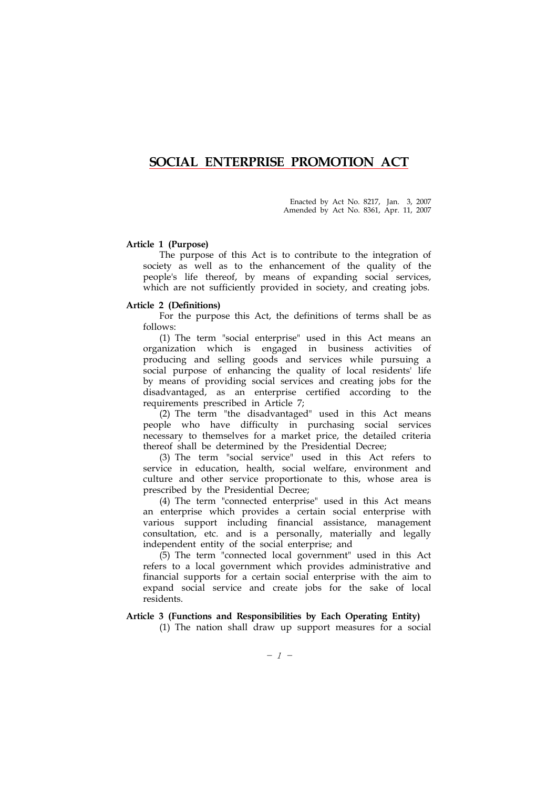# SOCIAL ENTERPRISE PROMOTION ACT

Enacted by Act No. 8217, Jan. 3, 2007 Amended by Act No. 8361, Apr. 11, 2007

### Article 1 (Purpose)

The purpose of this Act is to contribute to the integration of society as well as to the enhancement of the quality of the people's life thereof, by means of expanding social services, which are not sufficiently provided in society, and creating jobs.

#### Article 2 (Definitions)

For the purpose this Act, the definitions of terms shall be as follows:

(1) The term "social enterprise" used in this Act means an organization which is engaged in business activities of producing and selling goods and services while pursuing a social purpose of enhancing the quality of local residents' life by means of providing social services and creating jobs for the disadvantaged, as an enterprise certified according to the requirements prescribed in Article 7;

(2) The term "the disadvantaged" used in this Act means people who have difficulty in purchasing social services necessary to themselves for a market price, the detailed criteria thereof shall be determined by the Presidential Decree;

(3) The term "social service" used in this Act refers to service in education, health, social welfare, environment and culture and other service proportionate to this, whose area is prescribed by the Presidential Decree;

(4) The term "connected enterprise" used in this Act means an enterprise which provides a certain social enterprise with various support including financial assistance, management consultation, etc. and is a personally, materially and legally independent entity of the social enterprise; and

(5) The term "connected local government" used in this Act refers to a local government which provides administrative and financial supports for a certain social enterprise with the aim to expand social service and create jobs for the sake of local residents.

#### Article 3 (Functions and Responsibilities by Each Operating Entity)

(1) The nation shall draw up support measures for a social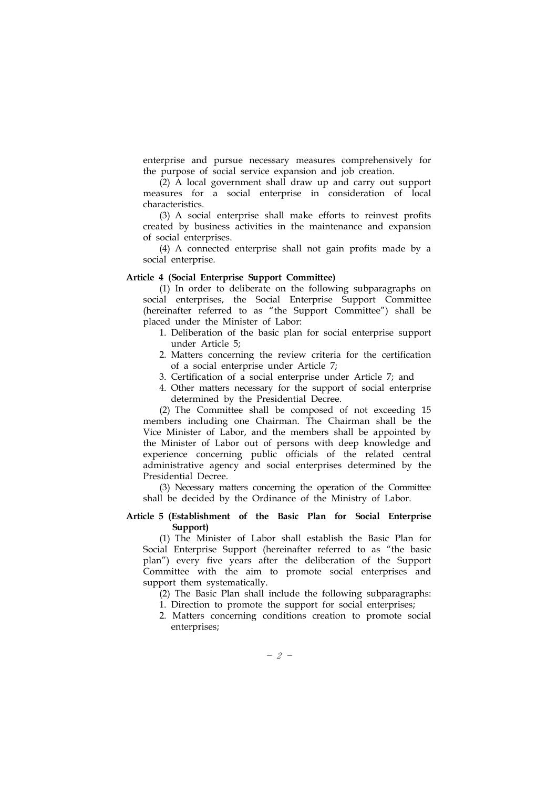enterprise and pursue necessary measures comprehensively for the purpose of social service expansion and job creation.

(2) A local government shall draw up and carry out support measures for a social enterprise in consideration of local characteristics.

(3) A social enterprise shall make efforts to reinvest profits created by business activities in the maintenance and expansion of social enterprises.

(4) A connected enterprise shall not gain profits made by a social enterprise.

### Article 4 (Social Enterprise Support Committee)

(1) In order to deliberate on the following subparagraphs on social enterprises, the Social Enterprise Support Committee (hereinafter referred to as "the Support Committee") shall be placed under the Minister of Labor:

- 1. Deliberation of the basic plan for social enterprise support under Article 5;
- 2. Matters concerning the review criteria for the certification of a social enterprise under Article 7;
- 3. Certification of a social enterprise under Article 7; and
- 4. Other matters necessary for the support of social enterprise determined by the Presidential Decree.

(2) The Committee shall be composed of not exceeding 15 members including one Chairman. The Chairman shall be the Vice Minister of Labor, and the members shall be appointed by the Minister of Labor out of persons with deep knowledge and experience concerning public officials of the related central administrative agency and social enterprises determined by the Presidential Decree.

(3) Necessary matters concerning the operation of the Committee shall be decided by the Ordinance of the Ministry of Labor.

### Article 5 (Establishment of the Basic Plan for Social Enterprise Support)

(1) The Minister of Labor shall establish the Basic Plan for Social Enterprise Support (hereinafter referred to as "the basic plan") every five years after the deliberation of the Support Committee with the aim to promote social enterprises and support them systematically.

(2) The Basic Plan shall include the following subparagraphs:

1. Direction to promote the support for social enterprises;

2. Matters concerning conditions creation to promote social enterprises;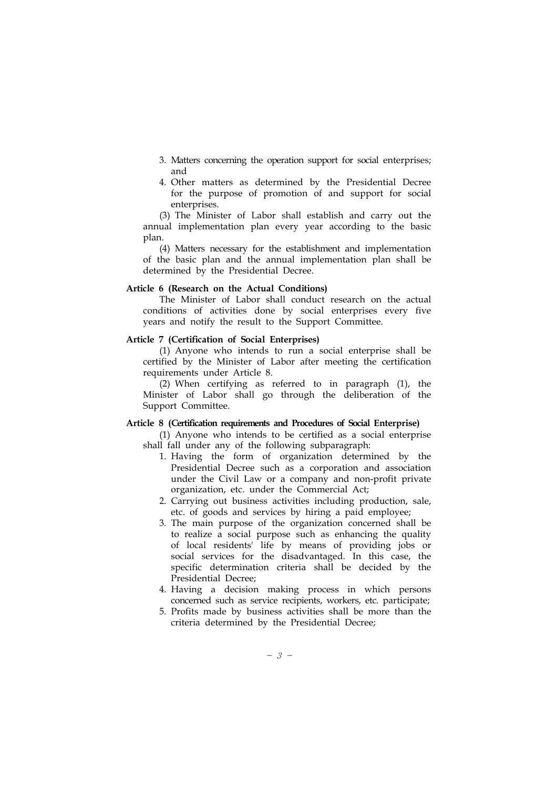- 3. Matters concerning the operation support for social enterprises; and
- 4. Other matters as determined by the Presidential Decree for the purpose of promotion of and support for social enterprises.

(3) The Minister of Labor shall establish and carry out the annual implementation plan every year according to the basic plan.

(4) Matters necessary for the establishment and implementation of the basic plan and the annual implementation plan shall be determined by the Presidential Decree.

#### Article 6 (Research on the Actual Conditions)

The Minister of Labor shall conduct research on the actual conditions of activities done by social enterprises every five years and notify the result to the Support Committee.

#### Article 7 (Certification of Social Enterprises)

(1) Anyone who intends to run a social enterprise shall be certified by the Minister of Labor after meeting the certification requirements under Article 8.

(2) When certifying as referred to in paragraph (1), the Minister of Labor shall go through the deliberation of the Support Committee.

#### Article 8 (Certification requirements and Procedures of Social Enterprise)

(1) Anyone who intends to be certified as a social enterprise shall fall under any of the following subparagraph:

- 1. Having the form of organization determined by the Presidential Decree such as a corporation and association under the Civil Law or a company and non-profit private organization, etc. under the Commercial Act;
- 2. Carrying out business activities including production, sale, etc. of goods and services by hiring a paid employee;
- 3. The main purpose of the organization concerned shall be to realize a social purpose such as enhancing the quality of local residents' life by means of providing jobs or social services for the disadvantaged. In this case, the specific determination criteria shall be decided by the Presidential Decree;
- 4. Having a decision making process in which persons concerned such as service recipients, workers, etc. participate;
- 5. Profits made by business activities shall be more than the criteria determined by the Presidential Decree;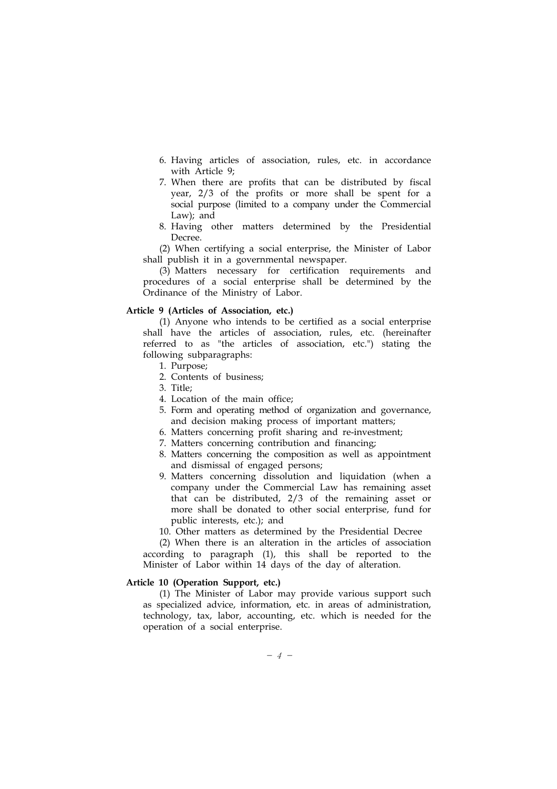- 6. Having articles of association, rules, etc. in accordance with Article 9;
- 7. When there are profits that can be distributed by fiscal year, 2/3 of the profits or more shall be spent for a social purpose (limited to a company under the Commercial Law); and
- 8. Having other matters determined by the Presidential Decree.

(2) When certifying a social enterprise, the Minister of Labor shall publish it in a governmental newspaper.

(3) Matters necessary for certification requirements and procedures of a social enterprise shall be determined by the Ordinance of the Ministry of Labor.

#### Article 9 (Articles of Association, etc.)

(1) Anyone who intends to be certified as a social enterprise shall have the articles of association, rules, etc. (hereinafter referred to as "the articles of association, etc.") stating the following subparagraphs:

- 1. Purpose;
- 2. Contents of business;
- 3. Title;
- 4. Location of the main office;
- 5. Form and operating method of organization and governance, and decision making process of important matters;
- 6. Matters concerning profit sharing and re-investment;
- 7. Matters concerning contribution and financing;
- 8. Matters concerning the composition as well as appointment and dismissal of engaged persons;
- 9. Matters concerning dissolution and liquidation (when a company under the Commercial Law has remaining asset that can be distributed, 2/3 of the remaining asset or more shall be donated to other social enterprise, fund for public interests, etc.); and
- 10. Other matters as determined by the Presidential Decree

(2) When there is an alteration in the articles of association according to paragraph (1), this shall be reported to the Minister of Labor within 14 days of the day of alteration.

#### Article 10 (Operation Support, etc.)

(1) The Minister of Labor may provide various support such as specialized advice, information, etc. in areas of administration, technology, tax, labor, accounting, etc. which is needed for the operation of a social enterprise.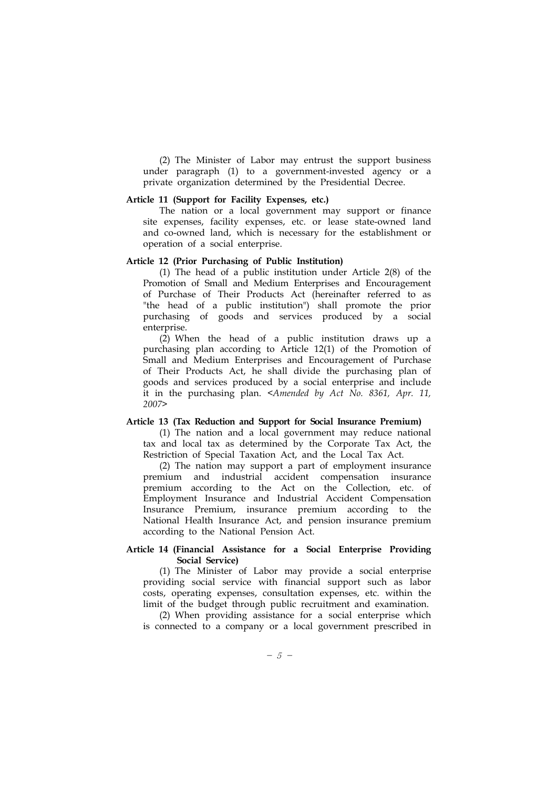(2) The Minister of Labor may entrust the support business under paragraph (1) to a government-invested agency or a private organization determined by the Presidential Decree.

### Article 11 (Support for Facility Expenses, etc.)

The nation or a local government may support or finance site expenses, facility expenses, etc. or lease state-owned land and co-owned land, which is necessary for the establishment or operation of a social enterprise.

# Article 12 (Prior Purchasing of Public Institution)

(1) The head of a public institution under Article 2(8) of the Promotion of Small and Medium Enterprises and Encouragement of Purchase of Their Products Act (hereinafter referred to as "the head of a public institution") shall promote the prior purchasing of goods and services produced by a social enterprise.

(2) When the head of a public institution draws up a purchasing plan according to Article 12(1) of the Promotion of Small and Medium Enterprises and Encouragement of Purchase of Their Products Act, he shall divide the purchasing plan of goods and services produced by a social enterprise and include it in the purchasing plan. <Amended by Act No. 8361, Apr. 11, 2007>

# Article 13 (Tax Reduction and Support for Social Insurance Premium)

(1) The nation and a local government may reduce national tax and local tax as determined by the Corporate Tax Act, the Restriction of Special Taxation Act, and the Local Tax Act.

(2) The nation may support a part of employment insurance premium and industrial accident compensation insurance premium according to the Act on the Collection, etc. of Employment Insurance and Industrial Accident Compensation Insurance Premium, insurance premium according to the National Health Insurance Act, and pension insurance premium according to the National Pension Act.

### Article 14 (Financial Assistance for a Social Enterprise Providing Social Service)

(1) The Minister of Labor may provide a social enterprise providing social service with financial support such as labor costs, operating expenses, consultation expenses, etc. within the limit of the budget through public recruitment and examination.

(2) When providing assistance for a social enterprise which is connected to a company or a local government prescribed in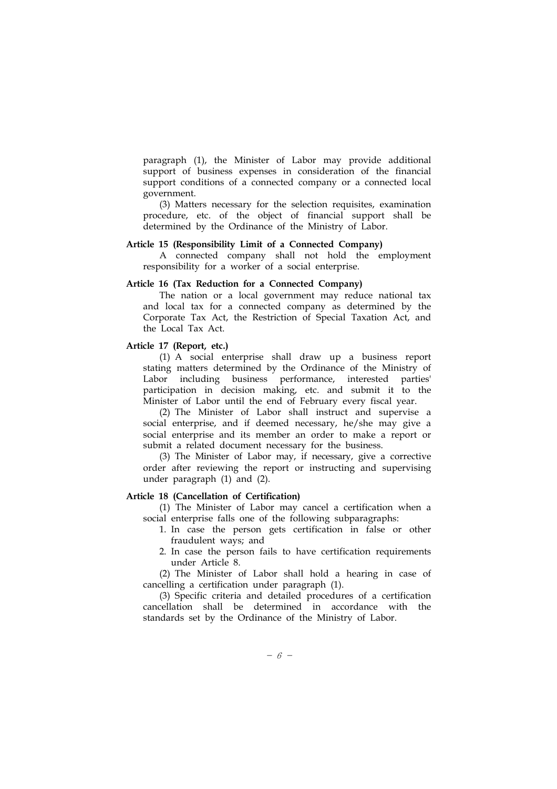paragraph (1), the Minister of Labor may provide additional support of business expenses in consideration of the financial support conditions of a connected company or a connected local government.

(3) Matters necessary for the selection requisites, examination procedure, etc. of the object of financial support shall be determined by the Ordinance of the Ministry of Labor.

# Article 15 (Responsibility Limit of a Connected Company)

A connected company shall not hold the employment responsibility for a worker of a social enterprise.

### Article 16 (Tax Reduction for a Connected Company)

The nation or a local government may reduce national tax and local tax for a connected company as determined by the Corporate Tax Act, the Restriction of Special Taxation Act, and the Local Tax Act.

# Article 17 (Report, etc.)

(1) A social enterprise shall draw up a business report stating matters determined by the Ordinance of the Ministry of Labor including business performance, interested parties' participation in decision making, etc. and submit it to the Minister of Labor until the end of February every fiscal year.

(2) The Minister of Labor shall instruct and supervise a social enterprise, and if deemed necessary, he/she may give a social enterprise and its member an order to make a report or submit a related document necessary for the business.

(3) The Minister of Labor may, if necessary, give a corrective order after reviewing the report or instructing and supervising under paragraph (1) and (2).

# Article 18 (Cancellation of Certification)

(1) The Minister of Labor may cancel a certification when a social enterprise falls one of the following subparagraphs:

- 1. In case the person gets certification in false or other fraudulent ways; and
- 2. In case the person fails to have certification requirements under Article 8.

(2) The Minister of Labor shall hold a hearing in case of cancelling a certification under paragraph (1).

(3) Specific criteria and detailed procedures of a certification cancellation shall be determined in accordance with the standards set by the Ordinance of the Ministry of Labor.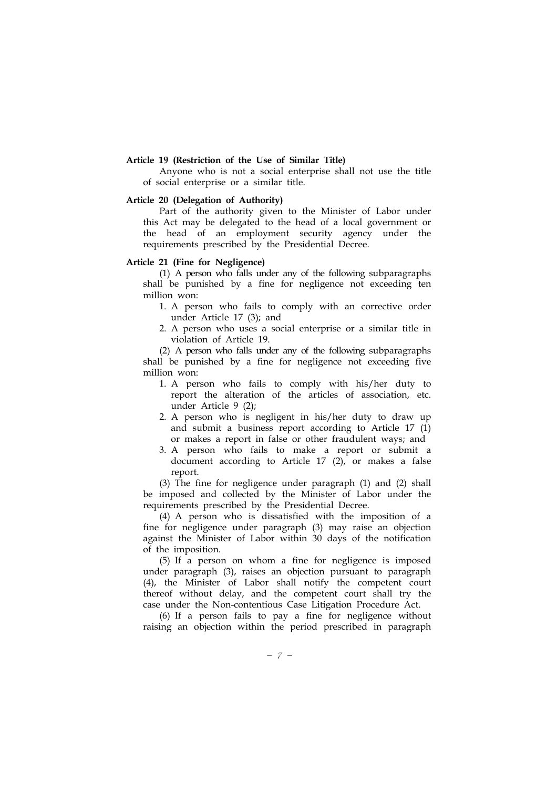### Article 19 (Restriction of the Use of Similar Title)

Anyone who is not a social enterprise shall not use the title of social enterprise or a similar title.

# Article 20 (Delegation of Authority)

Part of the authority given to the Minister of Labor under this Act may be delegated to the head of a local government or the head of an employment security agency under the requirements prescribed by the Presidential Decree.

# Article 21 (Fine for Negligence)

(1) A person who falls under any of the following subparagraphs shall be punished by a fine for negligence not exceeding ten million won:

- 1. A person who fails to comply with an corrective order under Article 17 (3); and
- 2. A person who uses a social enterprise or a similar title in violation of Article 19.

(2) A person who falls under any of the following subparagraphs shall be punished by a fine for negligence not exceeding five million won:

- 1. A person who fails to comply with his/her duty to report the alteration of the articles of association, etc. under Article 9 (2);
- 2. A person who is negligent in his/her duty to draw up and submit a business report according to Article 17 (1) or makes a report in false or other fraudulent ways; and
- 3. A person who fails to make a report or submit a document according to Article 17 (2), or makes a false report.

(3) The fine for negligence under paragraph (1) and (2) shall be imposed and collected by the Minister of Labor under the requirements prescribed by the Presidential Decree.

(4) A person who is dissatisfied with the imposition of a fine for negligence under paragraph (3) may raise an objection against the Minister of Labor within 30 days of the notification of the imposition.

(5) If a person on whom a fine for negligence is imposed under paragraph (3), raises an objection pursuant to paragraph (4), the Minister of Labor shall notify the competent court thereof without delay, and the competent court shall try the case under the Non-contentious Case Litigation Procedure Act.

(6) If a person fails to pay a fine for negligence without raising an objection within the period prescribed in paragraph